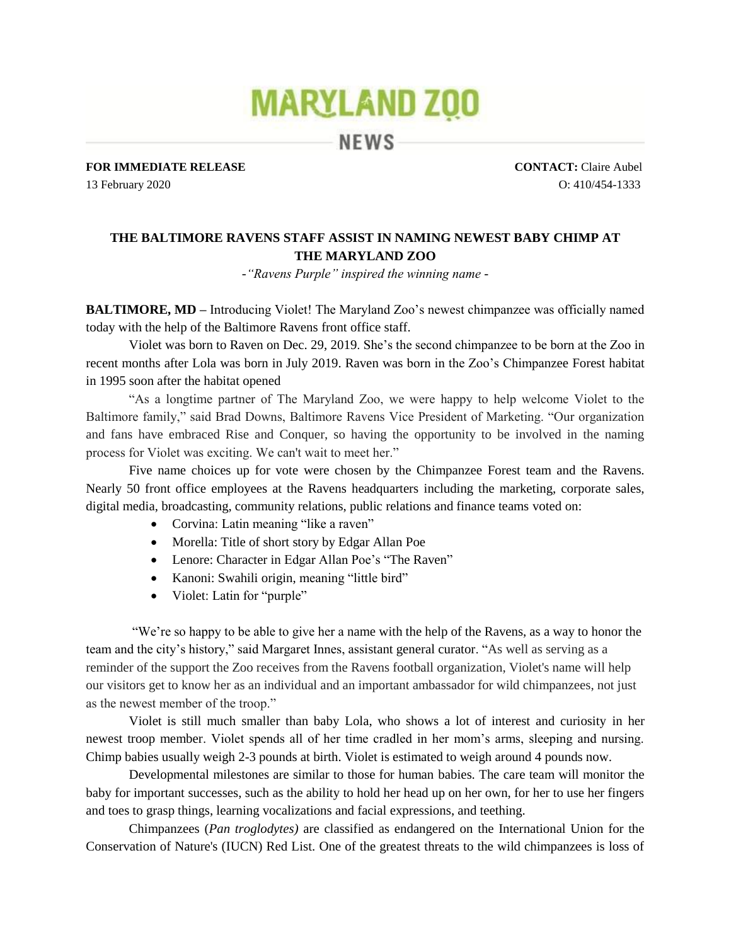## **MARYLAND ZOO**

**NEWS** 

**FOR IMMEDIATE RELEASE CONTACT:** Claire Aubel

13 February 2020 O: 410/454-1333

## **THE BALTIMORE RAVENS STAFF ASSIST IN NAMING NEWEST BABY CHIMP AT THE MARYLAND ZOO**

*-"Ravens Purple" inspired the winning name -*

**BALTIMORE, MD** – Introducing Violet! The Maryland Zoo's newest chimpanzee was officially named today with the help of the Baltimore Ravens front office staff.

Violet was born to Raven on Dec. 29, 2019. She's the second chimpanzee to be born at the Zoo in recent months after Lola was born in July 2019. Raven was born in the Zoo's Chimpanzee Forest habitat in 1995 soon after the habitat opened

"As a longtime partner of The Maryland Zoo, we were happy to help welcome Violet to the Baltimore family," said Brad Downs, Baltimore Ravens Vice President of Marketing. "Our organization and fans have embraced Rise and Conquer, so having the opportunity to be involved in the naming process for Violet was exciting. We can't wait to meet her."

Five name choices up for vote were chosen by the Chimpanzee Forest team and the Ravens. Nearly 50 front office employees at the Ravens headquarters including the marketing, corporate sales, digital media, broadcasting, community relations, public relations and finance teams voted on:

- Corvina: Latin meaning "like a raven"
- Morella: Title of short story by Edgar Allan Poe
- Lenore: Character in Edgar Allan Poe's "The Raven"
- Kanoni: Swahili origin, meaning "little bird"
- Violet: Latin for "purple"

"We're so happy to be able to give her a name with the help of the Ravens, as a way to honor the team and the city's history," said Margaret Innes, assistant general curator. "As well as serving as a reminder of the support the Zoo receives from the Ravens football organization, Violet's name will help our visitors get to know her as an individual and an important ambassador for wild chimpanzees, not just as the newest member of the troop."

Violet is still much smaller than baby Lola, who shows a lot of interest and curiosity in her newest troop member. Violet spends all of her time cradled in her mom's arms, sleeping and nursing. Chimp babies usually weigh 2-3 pounds at birth. Violet is estimated to weigh around 4 pounds now.

Developmental milestones are similar to those for human babies. The care team will monitor the baby for important successes, such as the ability to hold her head up on her own, for her to use her fingers and toes to grasp things, learning vocalizations and facial expressions, and teething.

Chimpanzees (*Pan troglodytes)* are classified as endangered on the International Union for the Conservation of Nature's (IUCN) Red List. One of the greatest threats to the wild chimpanzees is loss of